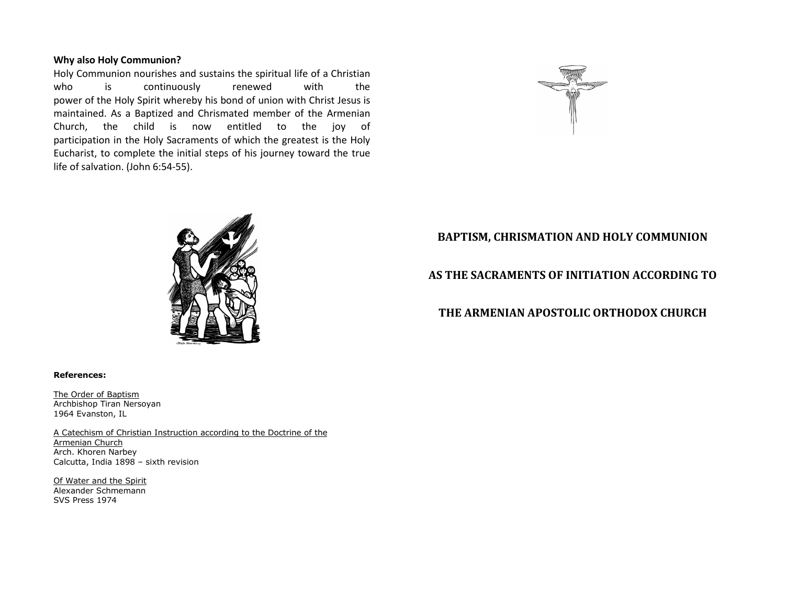### Why also Holy Communion?

 Holy Communion nourishes and sustains the spiritual life of a Christian who is continuously renewed with the power of the Holy Spirit whereby his bond of union with Christ Jesus is maintained. As a Baptized and Chrismated member of the Armenian Church, the child is now entitled to the joy of participation in the Holy Sacraments of which the greatest is the Holy Eucharist, to complete the initial steps of his journey toward the true life of salvation. (John 6:54-55).





## BAPTISM, CHRISMATION AND HOLY COMMUNION

## AS THE SACRAMENTS OF INITIATION ACCORDING TO

# THE ARMENIAN APOSTOLIC ORTHODOX CHURCH

#### References:

The Order of Baptism Archbishop Tiran Nersoyan 1964 Evanston, IL

A Catechism of Christian Instruction according to the Doctrine of the Armenian Church Arch. Khoren Narbey Calcutta, India 1898 – sixth revision

Of Water and the Spirit Alexander Schmemann SVS Press 1974